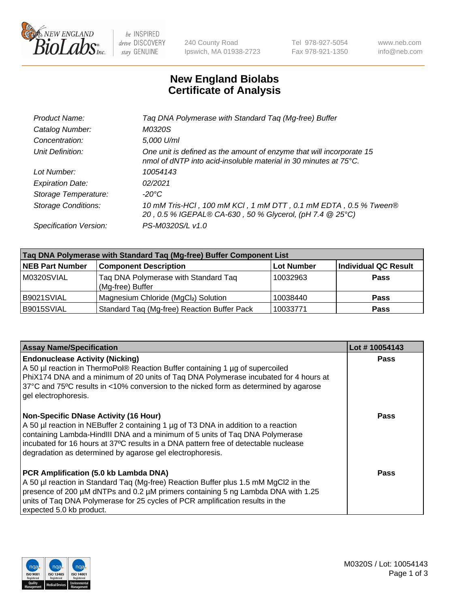

 $be$  INSPIRED drive DISCOVERY stay GENUINE

240 County Road Ipswich, MA 01938-2723 Tel 978-927-5054 Fax 978-921-1350 www.neb.com info@neb.com

## **New England Biolabs Certificate of Analysis**

| Product Name:              | Taq DNA Polymerase with Standard Taq (Mg-free) Buffer                                                                                    |
|----------------------------|------------------------------------------------------------------------------------------------------------------------------------------|
| Catalog Number:            | M0320S                                                                                                                                   |
| Concentration:             | 5,000 U/ml                                                                                                                               |
| Unit Definition:           | One unit is defined as the amount of enzyme that will incorporate 15<br>nmol of dNTP into acid-insoluble material in 30 minutes at 75°C. |
| Lot Number:                | 10054143                                                                                                                                 |
| <b>Expiration Date:</b>    | 02/2021                                                                                                                                  |
| Storage Temperature:       | $-20^{\circ}$ C                                                                                                                          |
| <b>Storage Conditions:</b> | 10 mM Tris-HCl, 100 mM KCl, 1 mM DTT, 0.1 mM EDTA, 0.5 % Tween®<br>20, 0.5 % IGEPAL® CA-630, 50 % Glycerol, (pH 7.4 @ 25°C)              |
| Specification Version:     | PS-M0320S/L v1.0                                                                                                                         |
|                            |                                                                                                                                          |

| Tag DNA Polymerase with Standard Tag (Mg-free) Buffer Component List |                                                          |                   |                             |  |
|----------------------------------------------------------------------|----------------------------------------------------------|-------------------|-----------------------------|--|
| <b>NEB Part Number</b>                                               | <b>Component Description</b>                             | <b>Lot Number</b> | <b>Individual QC Result</b> |  |
| M0320SVIAL                                                           | Tag DNA Polymerase with Standard Tag<br>(Mg-free) Buffer | 10032963          | Pass                        |  |
| B9021SVIAL                                                           | Magnesium Chloride (MgCl2) Solution                      | 10038440          | Pass                        |  |
| B9015SVIAL                                                           | Standard Taq (Mg-free) Reaction Buffer Pack              | 10033771          | <b>Pass</b>                 |  |

| <b>Assay Name/Specification</b>                                                                                                                                                                                                                                                                                                                                        | Lot #10054143 |
|------------------------------------------------------------------------------------------------------------------------------------------------------------------------------------------------------------------------------------------------------------------------------------------------------------------------------------------------------------------------|---------------|
| <b>Endonuclease Activity (Nicking)</b><br>A 50 µl reaction in ThermoPol® Reaction Buffer containing 1 µg of supercoiled<br>PhiX174 DNA and a minimum of 20 units of Taq DNA Polymerase incubated for 4 hours at<br>37°C and 75°C results in <10% conversion to the nicked form as determined by agarose<br>gel electrophoresis.                                        | <b>Pass</b>   |
| <b>Non-Specific DNase Activity (16 Hour)</b><br>A 50 µl reaction in NEBuffer 2 containing 1 µg of T3 DNA in addition to a reaction<br>containing Lambda-HindIII DNA and a minimum of 5 units of Taq DNA Polymerase<br>incubated for 16 hours at 37°C results in a DNA pattern free of detectable nuclease<br>degradation as determined by agarose gel electrophoresis. | Pass          |
| PCR Amplification (5.0 kb Lambda DNA)<br>A 50 µl reaction in Standard Taq (Mg-free) Reaction Buffer plus 1.5 mM MgCl2 in the<br>presence of 200 μM dNTPs and 0.2 μM primers containing 5 ng Lambda DNA with 1.25<br>units of Tag DNA Polymerase for 25 cycles of PCR amplification results in the<br>expected 5.0 kb product.                                          | Pass          |

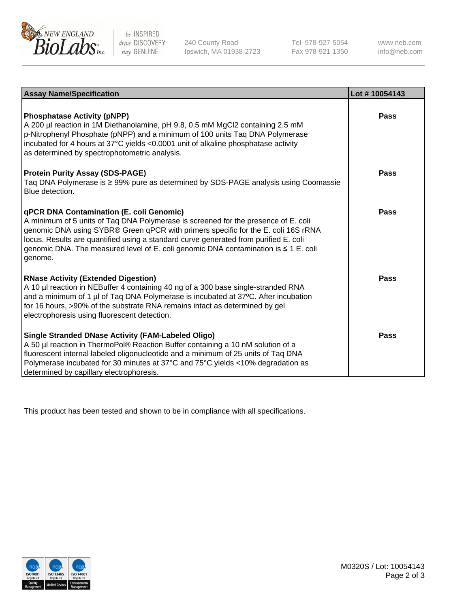

 $be$  INSPIRED drive DISCOVERY stay GENUINE

240 County Road Ipswich, MA 01938-2723 Tel 978-927-5054 Fax 978-921-1350 www.neb.com info@neb.com

| <b>Assay Name/Specification</b>                                                                                                                                                                                                                                                                                                                                                                               | Lot #10054143 |
|---------------------------------------------------------------------------------------------------------------------------------------------------------------------------------------------------------------------------------------------------------------------------------------------------------------------------------------------------------------------------------------------------------------|---------------|
| <b>Phosphatase Activity (pNPP)</b><br>A 200 µl reaction in 1M Diethanolamine, pH 9.8, 0.5 mM MgCl2 containing 2.5 mM<br>p-Nitrophenyl Phosphate (pNPP) and a minimum of 100 units Taq DNA Polymerase<br>incubated for 4 hours at 37°C yields <0.0001 unit of alkaline phosphatase activity<br>as determined by spectrophotometric analysis.                                                                   | Pass          |
| <b>Protein Purity Assay (SDS-PAGE)</b><br>Taq DNA Polymerase is ≥ 99% pure as determined by SDS-PAGE analysis using Coomassie<br>Blue detection.                                                                                                                                                                                                                                                              | Pass          |
| qPCR DNA Contamination (E. coli Genomic)<br>A minimum of 5 units of Taq DNA Polymerase is screened for the presence of E. coli<br>genomic DNA using SYBR® Green qPCR with primers specific for the E. coli 16S rRNA<br>locus. Results are quantified using a standard curve generated from purified E. coli<br>genomic DNA. The measured level of E. coli genomic DNA contamination is ≤ 1 E. coli<br>genome. | Pass          |
| <b>RNase Activity (Extended Digestion)</b><br>A 10 µl reaction in NEBuffer 4 containing 40 ng of a 300 base single-stranded RNA<br>and a minimum of 1 µl of Taq DNA Polymerase is incubated at 37°C. After incubation<br>for 16 hours, >90% of the substrate RNA remains intact as determined by gel<br>electrophoresis using fluorescent detection.                                                          | Pass          |
| <b>Single Stranded DNase Activity (FAM-Labeled Oligo)</b><br>A 50 µl reaction in ThermoPol® Reaction Buffer containing a 10 nM solution of a<br>fluorescent internal labeled oligonucleotide and a minimum of 25 units of Taq DNA<br>Polymerase incubated for 30 minutes at 37°C and 75°C yields <10% degradation as<br>determined by capillary electrophoresis.                                              | Pass          |

This product has been tested and shown to be in compliance with all specifications.